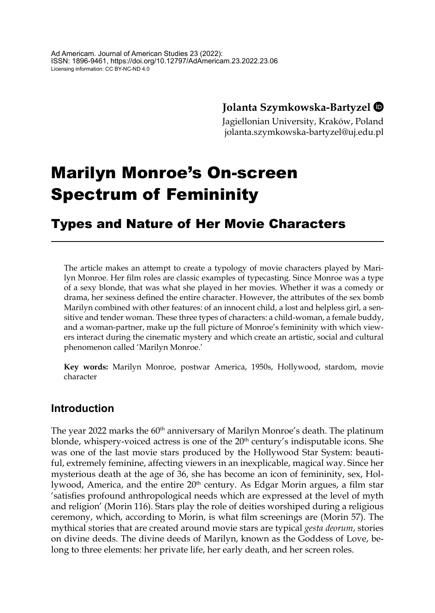## **Jolanta Szymkowska-Bartyzel**

Jagiellonian University, Kraków, Poland jolanta.szymkowska-bartyzel@uj.edu.pl

# Marilyn Monroe's On-screen Spectrum of Femininity

# Types and Nature of Her Movie Characters

The article makes an attempt to create a typology of movie characters played by Marilyn Monroe. Her film roles are classic examples of typecasting. Since Monroe was a type of a sexy blonde, that was what she played in her movies. Whether it was a comedy or drama, her sexiness defined the entire character. However, the attributes of the sex bomb Marilyn combined with other features: of an innocent child, a lost and helpless girl, a sensitive and tender woman. These three types of characters: a child-woman, a female buddy, and a woman-partner, make up the full picture of Monroe's femininity with which viewers interact during the cinematic mystery and which create an artistic, social and cultural phenomenon called 'Marilyn Monroe.'

**Key words:** Marilyn Monroe, postwar America, 1950s, Hollywood, stardom, movie character

## **Introduction**

The year 2022 marks the 60<sup>th</sup> anniversary of Marilyn Monroe's death. The platinum blonde, whispery-voiced actress is one of the  $20<sup>th</sup>$  century's indisputable icons. She was one of the last movie stars produced by the Hollywood Star System: beautiful, extremely feminine, affecting viewers in an inexplicable, magical way. Since her mysterious death at the age of 36, she has become an icon of femininity, sex, Hollywood, America, and the entire 20<sup>th</sup> century. As Edgar Morin argues, a film star 'satisfies profound anthropological needs which are expressed at the level of myth and religion' (Morin 116). Stars play the role of deities worshiped during a religious ceremony, which, according to Morin, is what film screenings are (Morin 57). The mythical stories that are created around movie stars are typical *gesta deorum*, stories on divine deeds. The divine deeds of Marilyn, known as the Goddess of Love, belong to three elements: her private life, her early death, and her screen roles.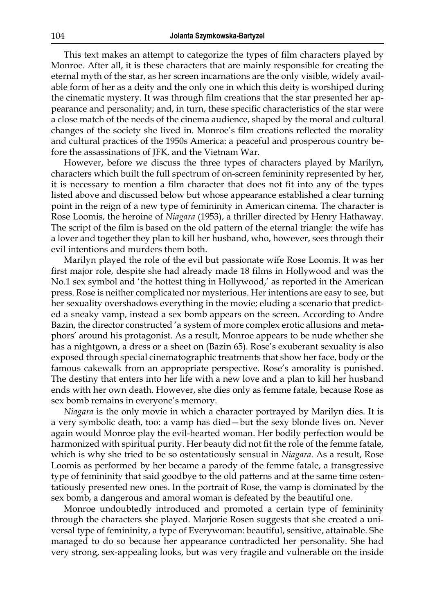This text makes an attempt to categorize the types of film characters played by Monroe. After all, it is these characters that are mainly responsible for creating the eternal myth of the star, as her screen incarnations are the only visible, widely available form of her as a deity and the only one in which this deity is worshiped during the cinematic mystery. It was through film creations that the star presented her appearance and personality; and, in turn, these specific characteristics of the star were a close match of the needs of the cinema audience, shaped by the moral and cultural changes of the society she lived in. Monroe's film creations reflected the morality and cultural practices of the 1950s America: a peaceful and prosperous country before the assassinations of JFK, and the Vietnam War.

However, before we discuss the three types of characters played by Marilyn, characters which built the full spectrum of on-screen femininity represented by her, it is necessary to mention a film character that does not fit into any of the types listed above and discussed below but whose appearance established a clear turning point in the reign of a new type of femininity in American cinema. The character is Rose Loomis, the heroine of *Niagara* (1953), a thriller directed by Henry Hathaway. The script of the film is based on the old pattern of the eternal triangle: the wife has a lover and together they plan to kill her husband, who, however, sees through their evil intentions and murders them both.

Marilyn played the role of the evil but passionate wife Rose Loomis. It was her first major role, despite she had already made 18 films in Hollywood and was the No.1 sex symbol and 'the hottest thing in Hollywood,' as reported in the American press. Rose is neither complicated nor mysterious. Her intentions are easy to see, but her sexuality overshadows everything in the movie; eluding a scenario that predicted a sneaky vamp, instead a sex bomb appears on the screen. According to Andre Bazin, the director constructed 'a system of more complex erotic allusions and metaphors' around his protagonist. As a result, Monroe appears to be nude whether she has a nightgown, a dress or a sheet on (Bazin 65). Rose's exuberant sexuality is also exposed through special cinematographic treatments that show her face, body or the famous cakewalk from an appropriate perspective. Rose's amorality is punished. The destiny that enters into her life with a new love and a plan to kill her husband ends with her own death. However, she dies only as femme fatale, because Rose as sex bomb remains in everyone's memory.

*Niagara* is the only movie in which a character portrayed by Marilyn dies. It is a very symbolic death, too: a vamp has died—but the sexy blonde lives on. Never again would Monroe play the evil-hearted woman. Her bodily perfection would be harmonized with spiritual purity. Her beauty did not fit the role of the femme fatale, which is why she tried to be so ostentatiously sensual in *Niagara*. As a result, Rose Loomis as performed by her became a parody of the femme fatale, a transgressive type of femininity that said goodbye to the old patterns and at the same time ostentatiously presented new ones. In the portrait of Rose, the vamp is dominated by the sex bomb, a dangerous and amoral woman is defeated by the beautiful one.

Monroe undoubtedly introduced and promoted a certain type of femininity through the characters she played. Marjorie Rosen suggests that she created a universal type of femininity, a type of Everywoman: beautiful, sensitive, attainable. She managed to do so because her appearance contradicted her personality. She had very strong, sex-appealing looks, but was very fragile and vulnerable on the inside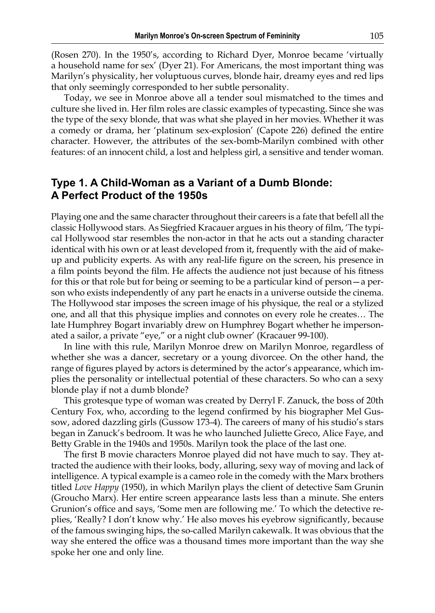(Rosen 270). In the 1950's, according to Richard Dyer, Monroe became 'virtually a household name for sex' (Dyer 21). For Americans, the most important thing was Marilyn's physicality, her voluptuous curves, blonde hair, dreamy eyes and red lips that only seemingly corresponded to her subtle personality.

Today, we see in Monroe above all a tender soul mismatched to the times and culture she lived in. Her film roles are classic examples of typecasting. Since she was the type of the sexy blonde, that was what she played in her movies. Whether it was a comedy or drama, her 'platinum sex-explosion' (Capote 226) defined the entire character. However, the attributes of the sex-bomb-Marilyn combined with other features: of an innocent child, a lost and helpless girl, a sensitive and tender woman.

#### **Type 1. A Child-Woman as a Variant of a Dumb Blonde: A Perfect Product of the 1950s**

Playing one and the same character throughout their careers is a fate that befell all the classic Hollywood stars. As Siegfried Kracauer argues in his theory of film, 'The typical Hollywood star resembles the non-actor in that he acts out a standing character identical with his own or at least developed from it, frequently with the aid of makeup and publicity experts. As with any real-life figure on the screen, his presence in a film points beyond the film. He affects the audience not just because of his fitness for this or that role but for being or seeming to be a particular kind of person—a person who exists independently of any part he enacts in a universe outside the cinema. The Hollywood star imposes the screen image of his physique, the real or a stylized one, and all that this physique implies and connotes on every role he creates… The late Humphrey Bogart invariably drew on Humphrey Bogart whether he impersonated a sailor, a private "eye," or a night club owner' (Kracauer 99-100).

In line with this rule, Marilyn Monroe drew on Marilyn Monroe, regardless of whether she was a dancer, secretary or a young divorcee. On the other hand, the range of figures played by actors is determined by the actor's appearance, which implies the personality or intellectual potential of these characters. So who can a sexy blonde play if not a dumb blonde?

This grotesque type of woman was created by Derryl F. Zanuck, the boss of 20th Century Fox, who, according to the legend confirmed by his biographer Mel Gussow, adored dazzling girls (Gussow 173-4). The careers of many of his studio's stars began in Zanuck's bedroom. It was he who launched Juliette Greco, Alice Faye, and Betty Grable in the 1940s and 1950s. Marilyn took the place of the last one.

The first B movie characters Monroe played did not have much to say. They attracted the audience with their looks, body, alluring, sexy way of moving and lack of intelligence. A typical example is a cameo role in the comedy with the Marx brothers titled *Love Happy* (1950), in which Marilyn plays the client of detective Sam Grunin (Groucho Marx). Her entire screen appearance lasts less than a minute. She enters Grunion's office and says, 'Some men are following me.' To which the detective replies, 'Really? I don't know why.' He also moves his eyebrow significantly, because of the famous swinging hips, the so-called Marilyn cakewalk. It was obvious that the way she entered the office was a thousand times more important than the way she spoke her one and only line.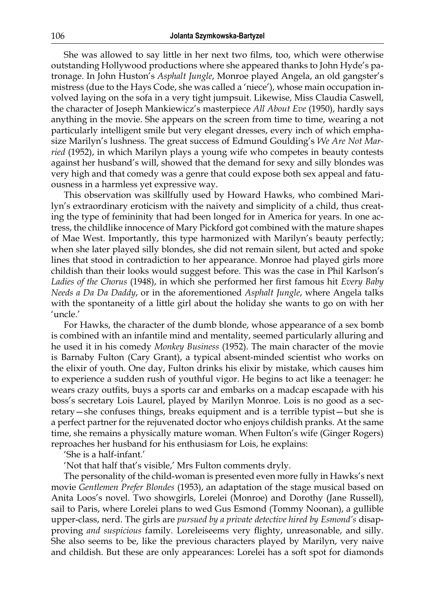She was allowed to say little in her next two films, too, which were otherwise outstanding Hollywood productions where she appeared thanks to John Hyde's patronage. In John Huston's *Asphalt Jungle*, Monroe played Angela, an old gangster's mistress (due to the Hays Code, she was called a 'niece'), whose main occupation involved laying on the sofa in a very tight jumpsuit. Likewise, Miss Claudia Caswell, the character of Joseph Mankiewicz's masterpiece *All About Eve* (1950), hardly says anything in the movie. She appears on the screen from time to time, wearing a not particularly intelligent smile but very elegant dresses, every inch of which emphasize Marilyn's lushness. The great success of Edmund Goulding's *We Are Not Married* (1952), in which Marilyn plays a young wife who competes in beauty contests against her husband's will, showed that the demand for sexy and silly blondes was very high and that comedy was a genre that could expose both sex appeal and fatuousness in a harmless yet expressive way.

This observation was skillfully used by Howard Hawks, who combined Marilyn's extraordinary eroticism with the naivety and simplicity of a child, thus creating the type of femininity that had been longed for in America for years. In one actress, the childlike innocence of Mary Pickford got combined with the mature shapes of Mae West. Importantly, this type harmonized with Marilyn's beauty perfectly; when she later played silly blondes, she did not remain silent, but acted and spoke lines that stood in contradiction to her appearance. Monroe had played girls more childish than their looks would suggest before. This was the case in Phil Karlson's *Ladies of the Chorus* (1948), in which she performed her first famous hit *Every Baby Needs a Da Da Daddy*, or in the aforementioned *Asphalt Jungle*, where Angela talks with the spontaneity of a little girl about the holiday she wants to go on with her 'uncle.'

For Hawks, the character of the dumb blonde, whose appearance of a sex bomb is combined with an infantile mind and mentality, seemed particularly alluring and he used it in his comedy *Monkey Business* (1952). The main character of the movie is Barnaby Fulton (Cary Grant), a typical absent-minded scientist who works on the elixir of youth. One day, Fulton drinks his elixir by mistake, which causes him to experience a sudden rush of youthful vigor. He begins to act like a teenager: he wears crazy outfits, buys a sports car and embarks on a madcap escapade with his boss's secretary Lois Laurel, played by Marilyn Monroe. Lois is no good as a secretary—she confuses things, breaks equipment and is a terrible typist—but she is a perfect partner for the rejuvenated doctor who enjoys childish pranks. At the same time, she remains a physically mature woman. When Fulton's wife (Ginger Rogers) reproaches her husband for his enthusiasm for Lois, he explains:

'She is a half-infant.'

'Not that half that's visible,' Mrs Fulton comments dryly.

The personality of the child-woman is presented even more fully in Hawks's next movie *Gentlemen Prefer Blondes* (1953), an adaptation of the stage musical based on Anita Loos's novel. Two showgirls, Lorelei (Monroe) and Dorothy (Jane Russell), sail to Paris, where Lorelei plans to wed Gus Esmond (Tommy Noonan), a gullible upper-class, nerd. The girls are *pursued by a private detective hired by Esmond's* disapproving *and suspicious* family*.* Loreleiseems very flighty, unreasonable, and silly. She also seems to be, like the previous characters played by Marilyn, very naive and childish. But these are only appearances: Lorelei has a soft spot for diamonds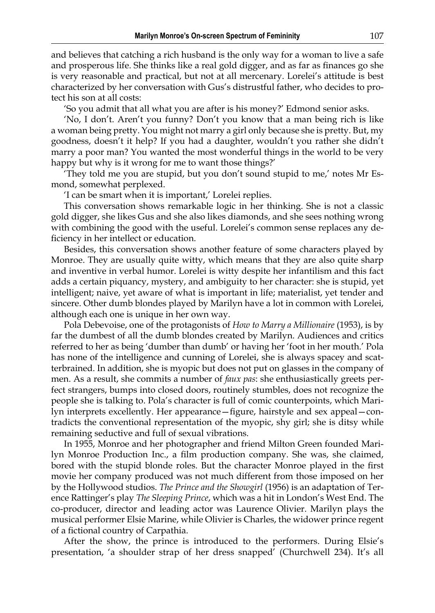and believes that catching a rich husband is the only way for a woman to live a safe and prosperous life. She thinks like a real gold digger, and as far as finances go she is very reasonable and practical, but not at all mercenary. Lorelei's attitude is best characterized by her conversation with Gus's distrustful father, who decides to protect his son at all costs:

'So you admit that all what you are after is his money?' Edmond senior asks.

'No, I don't. Aren't you funny? Don't you know that a man being rich is like a woman being pretty. You might not marry a girl only because she is pretty. But, my goodness, doesn't it help? If you had a daughter, wouldn't you rather she didn't marry a poor man? You wanted the most wonderful things in the world to be very happy but why is it wrong for me to want those things?'

'They told me you are stupid, but you don't sound stupid to me,' notes Mr Esmond, somewhat perplexed.

'I can be smart when it is important,' Lorelei replies.

This conversation shows remarkable logic in her thinking. She is not a classic gold digger, she likes Gus and she also likes diamonds, and she sees nothing wrong with combining the good with the useful. Lorelei's common sense replaces any deficiency in her intellect or education.

Besides, this conversation shows another feature of some characters played by Monroe. They are usually quite witty, which means that they are also quite sharp and inventive in verbal humor. Lorelei is witty despite her infantilism and this fact adds a certain piquancy, mystery, and ambiguity to her character: she is stupid, yet intelligent; naive, yet aware of what is important in life; materialist, yet tender and sincere. Other dumb blondes played by Marilyn have a lot in common with Lorelei, although each one is unique in her own way.

Pola Debevoise, one of the protagonists of *How to Marry a Millionaire* (1953), is by far the dumbest of all the dumb blondes created by Marilyn. Audiences and critics referred to her as being 'dumber than dumb' or having her 'foot in her mouth.' Pola has none of the intelligence and cunning of Lorelei, she is always spacey and scatterbrained. In addition, she is myopic but does not put on glasses in the company of men. As a result, she commits a number of *faux pas*: she enthusiastically greets perfect strangers, bumps into closed doors, routinely stumbles, does not recognize the people she is talking to. Pola's character is full of comic counterpoints, which Marilyn interprets excellently. Her appearance—figure, hairstyle and sex appeal—contradicts the conventional representation of the myopic, shy girl; she is ditsy while remaining seductive and full of sexual vibrations.

In 1955, Monroe and her photographer and friend Milton Green founded Marilyn Monroe Production Inc., a film production company. She was, she claimed, bored with the stupid blonde roles. But the character Monroe played in the first movie her company produced was not much different from those imposed on her by the Hollywood studios. *The Prince and the Showgirl* (1956) is an adaptation of Terence Rattinger's play *The Sleeping Prince*, which was a hit in London's West End. The co-producer, director and leading actor was Laurence Olivier. Marilyn plays the musical performer Elsie Marine, while Olivier is Charles, the widower prince regent of a fictional country of Carpathia.

After the show, the prince is introduced to the performers. During Elsie's presentation, 'a shoulder strap of her dress snapped' (Churchwell 234). It's all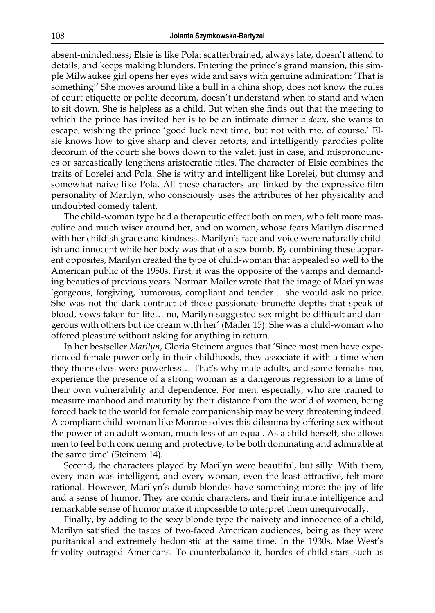absent-mindedness; Elsie is like Pola: scatterbrained, always late, doesn't attend to details, and keeps making blunders. Entering the prince's grand mansion, this simple Milwaukee girl opens her eyes wide and says with genuine admiration: 'That is something!' She moves around like a bull in a china shop, does not know the rules of court etiquette or polite decorum, doesn't understand when to stand and when to sit down. She is helpless as a child. But when she finds out that the meeting to which the prince has invited her is to be an intimate dinner *a deux*, she wants to escape, wishing the prince 'good luck next time, but not with me, of course.' Elsie knows how to give sharp and clever retorts, and intelligently parodies polite decorum of the court: she bows down to the valet, just in case, and mispronounces or sarcastically lengthens aristocratic titles. The character of Elsie combines the traits of Lorelei and Pola. She is witty and intelligent like Lorelei, but clumsy and somewhat naive like Pola. All these characters are linked by the expressive film personality of Marilyn, who consciously uses the attributes of her physicality and undoubted comedy talent.

The child-woman type had a therapeutic effect both on men, who felt more masculine and much wiser around her, and on women, whose fears Marilyn disarmed with her childish grace and kindness. Marilyn's face and voice were naturally childish and innocent while her body was that of a sex bomb. By combining these apparent opposites, Marilyn created the type of child-woman that appealed so well to the American public of the 1950s. First, it was the opposite of the vamps and demanding beauties of previous years. Norman Mailer wrote that the image of Marilyn was 'gorgeous, forgiving, humorous, compliant and tender… she would ask no price. She was not the dark contract of those passionate brunette depths that speak of blood, vows taken for life… no, Marilyn suggested sex might be difficult and dangerous with others but ice cream with her' (Mailer 15). She was a child-woman who offered pleasure without asking for anything in return.

In her bestseller *Marilyn*, Gloria Steinem argues that 'Since most men have experienced female power only in their childhoods, they associate it with a time when they themselves were powerless… That's why male adults, and some females too, experience the presence of a strong woman as a dangerous regression to a time of their own vulnerability and dependence. For men, especially, who are trained to measure manhood and maturity by their distance from the world of women, being forced back to the world for female companionship may be very threatening indeed. A compliant child-woman like Monroe solves this dilemma by offering sex without the power of an adult woman, much less of an equal. As a child herself, she allows men to feel both conquering and protective; to be both dominating and admirable at the same time' (Steinem 14).

Second, the characters played by Marilyn were beautiful, but silly. With them, every man was intelligent, and every woman, even the least attractive, felt more rational. However, Marilyn's dumb blondes have something more: the joy of life and a sense of humor. They are comic characters, and their innate intelligence and remarkable sense of humor make it impossible to interpret them unequivocally.

Finally, by adding to the sexy blonde type the naivety and innocence of a child, Marilyn satisfied the tastes of two-faced American audiences, being as they were puritanical and extremely hedonistic at the same time. In the 1930s, Mae West's frivolity outraged Americans. To counterbalance it, hordes of child stars such as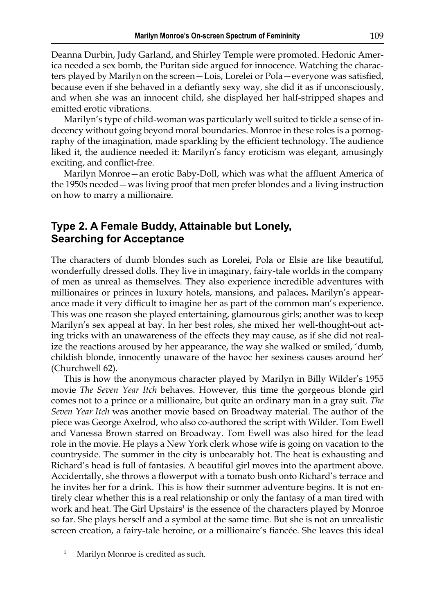Deanna Durbin, Judy Garland, and Shirley Temple were promoted. Hedonic America needed a sex bomb, the Puritan side argued for innocence. Watching the characters played by Marilyn on the screen—Lois, Lorelei or Pola—everyone was satisfied, because even if she behaved in a defiantly sexy way, she did it as if unconsciously, and when she was an innocent child, she displayed her half-stripped shapes and emitted erotic vibrations.

Marilyn's type of child-woman was particularly well suited to tickle a sense of indecency without going beyond moral boundaries. Monroe in these roles is a pornography of the imagination, made sparkling by the efficient technology. The audience liked it, the audience needed it: Marilyn's fancy eroticism was elegant, amusingly exciting, and conflict-free.

Marilyn Monroe—an erotic Baby-Doll, which was what the affluent America of the 1950s needed—was living proof that men prefer blondes and a living instruction on how to marry a millionaire.

## **Type 2. A Female Buddy, Attainable but Lonely, Searching for Acceptance**

The characters of dumb blondes such as Lorelei, Pola or Elsie are like beautiful, wonderfully dressed dolls. They live in imaginary, fairy-tale worlds in the company of men as unreal as themselves. They also experience incredible adventures with millionaires or princes in luxury hotels, mansions, and palaces**.** Marilyn's appearance made it very difficult to imagine her as part of the common man's experience. This was one reason she played entertaining, glamourous girls; another was to keep Marilyn's sex appeal at bay. In her best roles, she mixed her well-thought-out acting tricks with an unawareness of the effects they may cause, as if she did not realize the reactions aroused by her appearance, the way she walked or smiled, 'dumb, childish blonde, innocently unaware of the havoc her sexiness causes around her' (Churchwell 62).

This is how the anonymous character played by Marilyn in Billy Wilder's 1955 movie *The Seven Year Itch* behaves. However, this time the gorgeous blonde girl comes not to a prince or a millionaire, but quite an ordinary man in a gray suit. *The Seven Year Itch* was another movie based on Broadway material. The author of the piece was George Axelrod, who also co-authored the script with Wilder. Tom Ewell and Vanessa Brown starred on Broadway. Tom Ewell was also hired for the lead role in the movie. He plays a New York clerk whose wife is going on vacation to the countryside. The summer in the city is unbearably hot. The heat is exhausting and Richard's head is full of fantasies. A beautiful girl moves into the apartment above. Accidentally, she throws a flowerpot with a tomato bush onto Richard's terrace and he invites her for a drink. This is how their summer adventure begins. It is not entirely clear whether this is a real relationship or only the fantasy of a man tired with work and heat. The Girl Upstairs<sup>1</sup> is the essence of the characters played by Monroe so far. She plays herself and a symbol at the same time. But she is not an unrealistic screen creation, a fairy-tale heroine, or a millionaire's fiancée. She leaves this ideal

Marilyn Monroe is credited as such.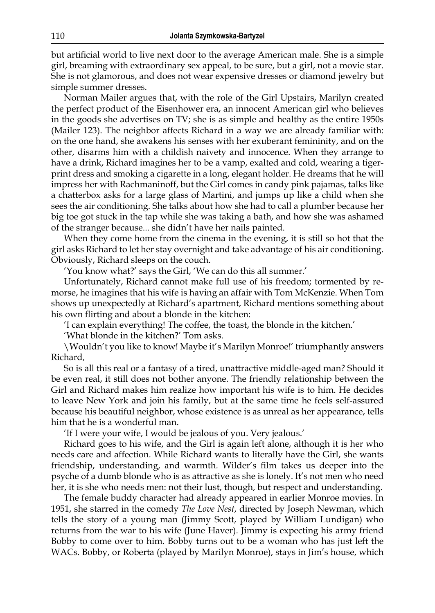but artificial world to live next door to the average American male. She is a simple girl, breaming with extraordinary sex appeal, to be sure, but a girl, not a movie star. She is not glamorous, and does not wear expensive dresses or diamond jewelry but simple summer dresses.

Norman Mailer argues that, with the role of the Girl Upstairs, Marilyn created the perfect product of the Eisenhower era, an innocent American girl who believes in the goods she advertises on TV; she is as simple and healthy as the entire 1950s (Mailer 123). The neighbor affects Richard in a way we are already familiar with: on the one hand, she awakens his senses with her exuberant femininity, and on the other, disarms him with a childish naivety and innocence. When they arrange to have a drink, Richard imagines her to be a vamp, exalted and cold, wearing a tigerprint dress and smoking a cigarette in a long, elegant holder. He dreams that he will impress her with Rachmaninoff, but the Girl comes in candy pink pajamas, talks like a chatterbox asks for a large glass of Martini, and jumps up like a child when she sees the air conditioning. She talks about how she had to call a plumber because her big toe got stuck in the tap while she was taking a bath, and how she was ashamed of the stranger because... she didn't have her nails painted.

When they come home from the cinema in the evening, it is still so hot that the girl asks Richard to let her stay overnight and take advantage of his air conditioning. Obviously, Richard sleeps on the couch.

'You know what?' says the Girl, 'We can do this all summer.'

Unfortunately, Richard cannot make full use of his freedom; tormented by remorse, he imagines that his wife is having an affair with Tom McKenzie. When Tom shows up unexpectedly at Richard's apartment, Richard mentions something about his own flirting and about a blonde in the kitchen:

'I can explain everything! The coffee, the toast, the blonde in the kitchen.'

'What blonde in the kitchen?' Tom asks.

\Wouldn't you like to know! Maybe it's Marilyn Monroe!' triumphantly answers Richard,

So is all this real or a fantasy of a tired, unattractive middle-aged man? Should it be even real, it still does not bother anyone. The friendly relationship between the Girl and Richard makes him realize how important his wife is to him. He decides to leave New York and join his family, but at the same time he feels self-assured because his beautiful neighbor, whose existence is as unreal as her appearance, tells him that he is a wonderful man.

'If I were your wife, I would be jealous of you. Very jealous.'

Richard goes to his wife, and the Girl is again left alone, although it is her who needs care and affection. While Richard wants to literally have the Girl, she wants friendship, understanding, and warmth. Wilder's film takes us deeper into the psyche of a dumb blonde who is as attractive as she is lonely. It's not men who need her, it is she who needs men: not their lust, though, but respect and understanding.

The female buddy character had already appeared in earlier Monroe movies. In 1951, she starred in the comedy *The Love Nest*, directed by Joseph Newman, which tells the story of a young man (Jimmy Scott, played by William Lundigan) who returns from the war to his wife (June Haver). Jimmy is expecting his army friend Bobby to come over to him. Bobby turns out to be a woman who has just left the WACs. Bobby, or Roberta (played by Marilyn Monroe), stays in Jim's house, which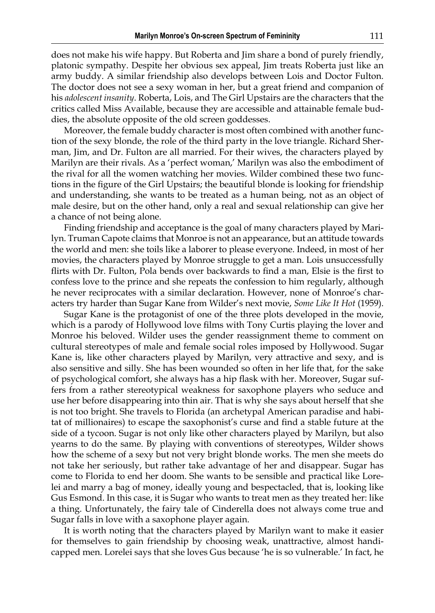does not make his wife happy. But Roberta and Jim share a bond of purely friendly, platonic sympathy. Despite her obvious sex appeal, Jim treats Roberta just like an army buddy. A similar friendship also develops between Lois and Doctor Fulton. The doctor does not see a sexy woman in her, but a great friend and companion of his *adolescent insanity*. Roberta, Lois, and The Girl Upstairs are the characters that the critics called Miss Available, because they are accessible and attainable female buddies, the absolute opposite of the old screen goddesses.

Moreover, the female buddy character is most often combined with another function of the sexy blonde, the role of the third party in the love triangle. Richard Sherman, Jim, and Dr. Fulton are all married. For their wives, the characters played by Marilyn are their rivals. As a 'perfect woman,' Marilyn was also the embodiment of the rival for all the women watching her movies. Wilder combined these two functions in the figure of the Girl Upstairs; the beautiful blonde is looking for friendship and understanding, she wants to be treated as a human being, not as an object of male desire, but on the other hand, only a real and sexual relationship can give her a chance of not being alone.

Finding friendship and acceptance is the goal of many characters played by Marilyn. Truman Capote claims that Monroe is not an appearance, but an attitude towards the world and men: she toils like a laborer to please everyone. Indeed, in most of her movies, the characters played by Monroe struggle to get a man. Lois unsuccessfully flirts with Dr. Fulton, Pola bends over backwards to find a man, Elsie is the first to confess love to the prince and she repeats the confession to him regularly, although he never reciprocates with a similar declaration. However, none of Monroe's characters try harder than Sugar Kane from Wilder's next movie, *Some Like It Hot* (1959).

Sugar Kane is the protagonist of one of the three plots developed in the movie, which is a parody of Hollywood love films with Tony Curtis playing the lover and Monroe his beloved. Wilder uses the gender reassignment theme to comment on cultural stereotypes of male and female social roles imposed by Hollywood. Sugar Kane is, like other characters played by Marilyn, very attractive and sexy, and is also sensitive and silly. She has been wounded so often in her life that, for the sake of psychological comfort, she always has a hip flask with her. Moreover, Sugar suffers from a rather stereotypical weakness for saxophone players who seduce and use her before disappearing into thin air. That is why she says about herself that she is not too bright. She travels to Florida (an archetypal American paradise and habitat of millionaires) to escape the saxophonist's curse and find a stable future at the side of a tycoon. Sugar is not only like other characters played by Marilyn, but also yearns to do the same. By playing with conventions of stereotypes, Wilder shows how the scheme of a sexy but not very bright blonde works. The men she meets do not take her seriously, but rather take advantage of her and disappear. Sugar has come to Florida to end her doom. She wants to be sensible and practical like Lorelei and marry a bag of money, ideally young and bespectacled, that is, looking like Gus Esmond. In this case, it is Sugar who wants to treat men as they treated her: like a thing. Unfortunately, the fairy tale of Cinderella does not always come true and Sugar falls in love with a saxophone player again.

It is worth noting that the characters played by Marilyn want to make it easier for themselves to gain friendship by choosing weak, unattractive, almost handicapped men. Lorelei says that she loves Gus because 'he is so vulnerable.' In fact, he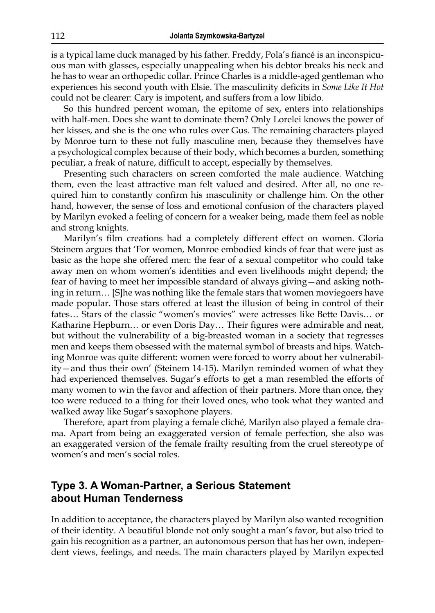is a typical lame duck managed by his father. Freddy, Pola's fiancé is an inconspicuous man with glasses, especially unappealing when his debtor breaks his neck and he has to wear an orthopedic collar. Prince Charles is a middle-aged gentleman who experiences his second youth with Elsie. The masculinity deficits in *Some Like It Hot* could not be clearer: Cary is impotent, and suffers from a low libido.

So this hundred percent woman, the epitome of sex, enters into relationships with half-men. Does she want to dominate them? Only Lorelei knows the power of her kisses, and she is the one who rules over Gus. The remaining characters played by Monroe turn to these not fully masculine men, because they themselves have a psychological complex because of their body, which becomes a burden, something peculiar, a freak of nature, difficult to accept, especially by themselves.

Presenting such characters on screen comforted the male audience. Watching them, even the least attractive man felt valued and desired. After all, no one required him to constantly confirm his masculinity or challenge him. On the other hand, however, the sense of loss and emotional confusion of the characters played by Marilyn evoked a feeling of concern for a weaker being, made them feel as noble and strong knights.

Marilyn's film creations had a completely different effect on women. Gloria Steinem argues that 'For women, Monroe embodied kinds of fear that were just as basic as the hope she offered men: the fear of a sexual competitor who could take away men on whom women's identities and even livelihoods might depend; the fear of having to meet her impossible standard of always giving—and asking nothing in return… [S]he was nothing like the female stars that women moviegoers have made popular. Those stars offered at least the illusion of being in control of their fates… Stars of the classic "women's movies" were actresses like Bette Davis… or Katharine Hepburn… or even Doris Day… Their figures were admirable and neat, but without the vulnerability of a big-breasted woman in a society that regresses men and keeps them obsessed with the maternal symbol of breasts and hips. Watching Monroe was quite different: women were forced to worry about her vulnerability—and thus their own' (Steinem 14-15). Marilyn reminded women of what they had experienced themselves. Sugar's efforts to get a man resembled the efforts of many women to win the favor and affection of their partners. More than once, they too were reduced to a thing for their loved ones, who took what they wanted and walked away like Sugar's saxophone players.

Therefore, apart from playing a female cliché, Marilyn also played a female drama. Apart from being an exaggerated version of female perfection, she also was an exaggerated version of the female frailty resulting from the cruel stereotype of women's and men's social roles.

#### **Type 3. A Woman-Partner, a Serious Statement about Human Tenderness**

In addition to acceptance, the characters played by Marilyn also wanted recognition of their identity. A beautiful blonde not only sought a man's favor, but also tried to gain his recognition as a partner, an autonomous person that has her own, independent views, feelings, and needs. The main characters played by Marilyn expected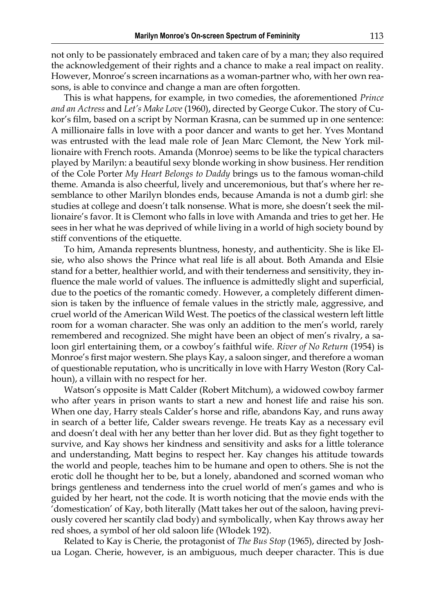not only to be passionately embraced and taken care of by a man; they also required the acknowledgement of their rights and a chance to make a real impact on reality. However, Monroe's screen incarnations as a woman-partner who, with her own reasons, is able to convince and change a man are often forgotten.

This is what happens, for example, in two comedies, the aforementioned *Prince and an Actress* and *Let's Make Love* (1960), directed by George Cukor. The story of Cukor's film, based on a script by Norman Krasna, can be summed up in one sentence: A millionaire falls in love with a poor dancer and wants to get her. Yves Montand was entrusted with the lead male role of Jean Marc Clemont, the New York millionaire with French roots. Amanda (Monroe) seems to be like the typical characters played by Marilyn: a beautiful sexy blonde working in show business. Her rendition of the Cole Porter *My Heart Belongs to Daddy* brings us to the famous woman-child theme. Amanda is also cheerful, lively and unceremonious, but that's where her resemblance to other Marilyn blondes ends, because Amanda is not a dumb girl: she studies at college and doesn't talk nonsense. What is more, she doesn't seek the millionaire's favor. It is Clemont who falls in love with Amanda and tries to get her. He sees in her what he was deprived of while living in a world of high society bound by stiff conventions of the etiquette.

To him, Amanda represents bluntness, honesty, and authenticity. She is like Elsie, who also shows the Prince what real life is all about. Both Amanda and Elsie stand for a better, healthier world, and with their tenderness and sensitivity, they influence the male world of values. The influence is admittedly slight and superficial, due to the poetics of the romantic comedy. However, a completely different dimension is taken by the influence of female values in the strictly male, aggressive, and cruel world of the American Wild West. The poetics of the classical western left little room for a woman character. She was only an addition to the men's world, rarely remembered and recognized. She might have been an object of men's rivalry, a saloon girl entertaining them, or a cowboy's faithful wife. *River of No Return* (1954) is Monroe's first major western. She plays Kay, a saloon singer, and therefore a woman of questionable reputation, who is uncritically in love with Harry Weston (Rory Calhoun), a villain with no respect for her.

Watson's opposite is Matt Calder (Robert Mitchum), a widowed cowboy farmer who after years in prison wants to start a new and honest life and raise his son. When one day, Harry steals Calder's horse and rifle, abandons Kay, and runs away in search of a better life, Calder swears revenge. He treats Kay as a necessary evil and doesn't deal with her any better than her lover did. But as they fight together to survive, and Kay shows her kindness and sensitivity and asks for a little tolerance and understanding, Matt begins to respect her. Kay changes his attitude towards the world and people, teaches him to be humane and open to others. She is not the erotic doll he thought her to be, but a lonely, abandoned and scorned woman who brings gentleness and tenderness into the cruel world of men's games and who is guided by her heart, not the code. It is worth noticing that the movie ends with the 'domestication' of Kay, both literally (Matt takes her out of the saloon, having previously covered her scantily clad body) and symbolically, when Kay throws away her red shoes, a symbol of her old saloon life (Włodek 192).

Related to Kay is Cherie, the protagonist of *The Bus Stop* (1965), directed by Joshua Logan. Cherie, however, is an ambiguous, much deeper character. This is due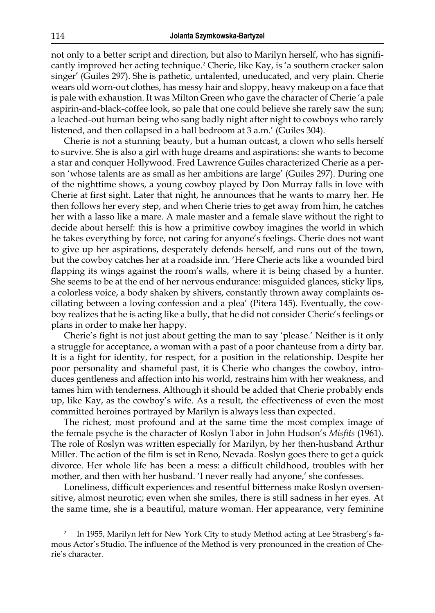not only to a better script and direction, but also to Marilyn herself, who has significantly improved her acting technique.<sup>2</sup> Cherie, like Kay, is 'a southern cracker salon singer' (Guiles 297). She is pathetic, untalented, uneducated, and very plain. Cherie wears old worn-out clothes, has messy hair and sloppy, heavy makeup on a face that is pale with exhaustion. It was Milton Green who gave the character of Cherie 'a pale aspirin-and-black-coffee look, so pale that one could believe she rarely saw the sun; a leached-out human being who sang badly night after night to cowboys who rarely listened, and then collapsed in a hall bedroom at 3 a.m.' (Guiles 304).

Cherie is not a stunning beauty, but a human outcast, a clown who sells herself to survive. She is also a girl with huge dreams and aspirations: she wants to become a star and conquer Hollywood. Fred Lawrence Guiles characterized Cherie as a person 'whose talents are as small as her ambitions are large' (Guiles 297). During one of the nighttime shows, a young cowboy played by Don Murray falls in love with Cherie at first sight. Later that night, he announces that he wants to marry her. He then follows her every step, and when Cherie tries to get away from him, he catches her with a lasso like a mare. A male master and a female slave without the right to decide about herself: this is how a primitive cowboy imagines the world in which he takes everything by force, not caring for anyone's feelings. Cherie does not want to give up her aspirations, desperately defends herself, and runs out of the town, but the cowboy catches her at a roadside inn. 'Here Cherie acts like a wounded bird flapping its wings against the room's walls, where it is being chased by a hunter. She seems to be at the end of her nervous endurance: misguided glances, sticky lips, a colorless voice, a body shaken by shivers, constantly thrown away complaints oscillating between a loving confession and a plea' (Pitera 145). Eventually, the cowboy realizes that he is acting like a bully, that he did not consider Cherie's feelings or plans in order to make her happy.

Cherie's fight is not just about getting the man to say 'please.' Neither is it only a struggle for acceptance, a woman with a past of a poor chanteuse from a dirty bar. It is a fight for identity, for respect, for a position in the relationship. Despite her poor personality and shameful past, it is Cherie who changes the cowboy, introduces gentleness and affection into his world, restrains him with her weakness, and tames him with tenderness. Although it should be added that Cherie probably ends up, like Kay, as the cowboy's wife. As a result, the effectiveness of even the most committed heroines portrayed by Marilyn is always less than expected.

The richest, most profound and at the same time the most complex image of the female psyche is the character of Roslyn Tabor in John Hudson's *Misfits* (1961). The role of Roslyn was written especially for Marilyn, by her then-husband Arthur Miller. The action of the film is set in Reno, Nevada. Roslyn goes there to get a quick divorce. Her whole life has been a mess: a difficult childhood, troubles with her mother, and then with her husband. 'I never really had anyone,' she confesses.

Loneliness, difficult experiences and resentful bitterness make Roslyn oversensitive, almost neurotic; even when she smiles, there is still sadness in her eyes. At the same time, she is a beautiful, mature woman. Her appearance, very feminine

<sup>2</sup> In 1955, Marilyn left for New York City to study Method acting at Lee Strasberg's famous Actor's Studio. The influence of the Method is very pronounced in the creation of Cherie's character.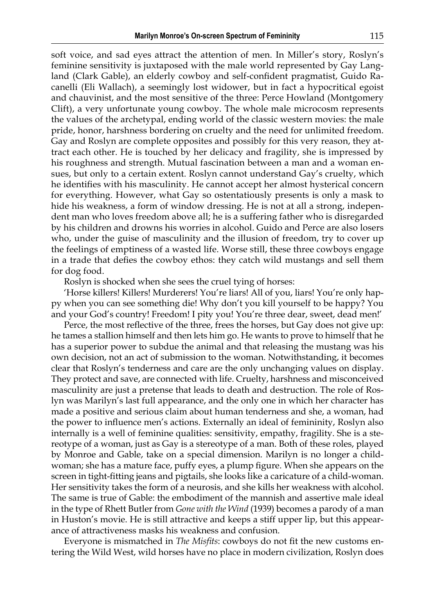soft voice, and sad eyes attract the attention of men. In Miller's story, Roslyn's feminine sensitivity is juxtaposed with the male world represented by Gay Langland (Clark Gable), an elderly cowboy and self-confident pragmatist, Guido Racanelli (Eli Wallach), a seemingly lost widower, but in fact a hypocritical egoist and chauvinist, and the most sensitive of the three: Perce Howland (Montgomery Clift), a very unfortunate young cowboy. The whole male microcosm represents the values of the archetypal, ending world of the classic western movies: the male pride, honor, harshness bordering on cruelty and the need for unlimited freedom. Gay and Roslyn are complete opposites and possibly for this very reason, they attract each other. He is touched by her delicacy and fragility, she is impressed by his roughness and strength. Mutual fascination between a man and a woman ensues, but only to a certain extent. Roslyn cannot understand Gay's cruelty, which he identifies with his masculinity. He cannot accept her almost hysterical concern for everything. However, what Gay so ostentatiously presents is only a mask to hide his weakness, a form of window dressing. He is not at all a strong, independent man who loves freedom above all; he is a suffering father who is disregarded by his children and drowns his worries in alcohol. Guido and Perce are also losers who, under the guise of masculinity and the illusion of freedom, try to cover up the feelings of emptiness of a wasted life. Worse still, these three cowboys engage in a trade that defies the cowboy ethos: they catch wild mustangs and sell them for dog food.

Roslyn is shocked when she sees the cruel tying of horses:

'Horse killers! Killers! Murderers! You're liars! All of you, liars! You're only happy when you can see something die! Why don't you kill yourself to be happy? You and your God's country! Freedom! I pity you! You're three dear, sweet, dead men!'

Perce, the most reflective of the three, frees the horses, but Gay does not give up: he tames a stallion himself and then lets him go. He wants to prove to himself that he has a superior power to subdue the animal and that releasing the mustang was his own decision, not an act of submission to the woman. Notwithstanding, it becomes clear that Roslyn's tenderness and care are the only unchanging values on display. They protect and save, are connected with life. Cruelty, harshness and misconceived masculinity are just a pretense that leads to death and destruction. The role of Roslyn was Marilyn's last full appearance, and the only one in which her character has made a positive and serious claim about human tenderness and she, a woman, had the power to influence men's actions. Externally an ideal of femininity, Roslyn also internally is a well of feminine qualities: sensitivity, empathy, fragility. She is a stereotype of a woman, just as Gay is a stereotype of a man. Both of these roles, played by Monroe and Gable, take on a special dimension. Marilyn is no longer a childwoman; she has a mature face, puffy eyes, a plump figure. When she appears on the screen in tight-fitting jeans and pigtails, she looks like a caricature of a child-woman. Her sensitivity takes the form of a neurosis, and she kills her weakness with alcohol. The same is true of Gable: the embodiment of the mannish and assertive male ideal in the type of Rhett Butler from *Gone with the Wind* (1939) becomes a parody of a man in Huston's movie. He is still attractive and keeps a stiff upper lip, but this appearance of attractiveness masks his weakness and confusion.

Everyone is mismatched in *The Misfits*: cowboys do not fit the new customs entering the Wild West, wild horses have no place in modern civilization, Roslyn does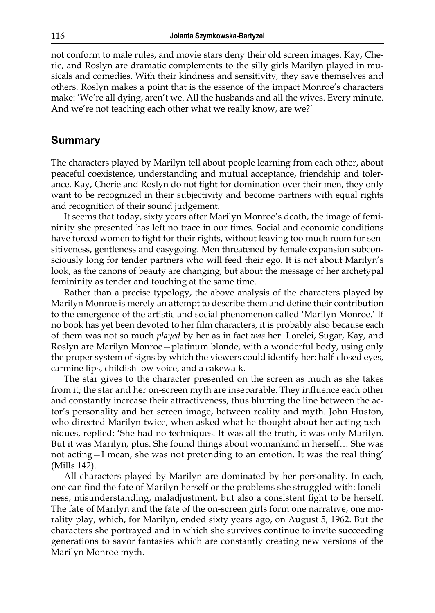not conform to male rules, and movie stars deny their old screen images. Kay, Cherie, and Roslyn are dramatic complements to the silly girls Marilyn played in musicals and comedies. With their kindness and sensitivity, they save themselves and others. Roslyn makes a point that is the essence of the impact Monroe's characters make: 'We're all dying, aren't we. All the husbands and all the wives. Every minute. And we're not teaching each other what we really know, are we?'

#### **Summary**

The characters played by Marilyn tell about people learning from each other, about peaceful coexistence, understanding and mutual acceptance, friendship and tolerance. Kay, Cherie and Roslyn do not fight for domination over their men, they only want to be recognized in their subjectivity and become partners with equal rights and recognition of their sound judgement.

It seems that today, sixty years after Marilyn Monroe's death, the image of femininity she presented has left no trace in our times. Social and economic conditions have forced women to fight for their rights, without leaving too much room for sensitiveness, gentleness and easygoing. Men threatened by female expansion subconsciously long for tender partners who will feed their ego. It is not about Marilyn's look, as the canons of beauty are changing, but about the message of her archetypal femininity as tender and touching at the same time.

Rather than a precise typology, the above analysis of the characters played by Marilyn Monroe is merely an attempt to describe them and define their contribution to the emergence of the artistic and social phenomenon called 'Marilyn Monroe.' If no book has yet been devoted to her film characters, it is probably also because each of them was not so much *played* by her as in fact *was* her. Lorelei, Sugar, Kay, and Roslyn are Marilyn Monroe—platinum blonde, with a wonderful body, using only the proper system of signs by which the viewers could identify her: half-closed eyes, carmine lips, childish low voice, and a cakewalk.

The star gives to the character presented on the screen as much as she takes from it; the star and her on-screen myth are inseparable. They influence each other and constantly increase their attractiveness, thus blurring the line between the actor's personality and her screen image, between reality and myth. John Huston, who directed Marilyn twice, when asked what he thought about her acting techniques, replied: 'She had no techniques. It was all the truth, it was only Marilyn. But it was Marilyn, plus. She found things about womankind in herself… She was not acting—I mean, she was not pretending to an emotion. It was the real thing' (Mills 142).

All characters played by Marilyn are dominated by her personality. In each, one can find the fate of Marilyn herself or the problems she struggled with: loneliness, misunderstanding, maladjustment, but also a consistent fight to be herself. The fate of Marilyn and the fate of the on-screen girls form one narrative, one morality play, which, for Marilyn, ended sixty years ago, on August 5, 1962. But the characters she portrayed and in which she survives continue to invite succeeding generations to savor fantasies which are constantly creating new versions of the Marilyn Monroe myth.